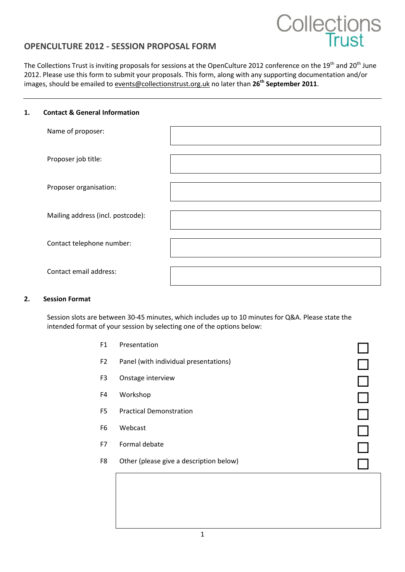# **Collections**

# **OPENCULTURE 2012 - SESSION PROPOSAL FORM**

The Collections Trust is inviting proposals for sessions at the OpenCulture 2012 conference on the 19<sup>th</sup> and 20<sup>th</sup> June 2012. Please use this form to submit your proposals. This form, along with any supporting documentation and/or images, should be emailed t[o events@collectionstrust.org.uk](mailto:events@collectionstrust.org.uk) no later than **26th September 2011**.

#### **1. Contact & General Information**

| Name of proposer:                 |  |
|-----------------------------------|--|
| Proposer job title:               |  |
| Proposer organisation:            |  |
| Mailing address (incl. postcode): |  |
| Contact telephone number:         |  |
| Contact email address:            |  |

#### **2. Session Format**

Session slots are between 30-45 minutes, which includes up to 10 minutes for Q&A. Please state the intended format of your session by selecting one of the options below:

| F1             | Presentation                            |  |
|----------------|-----------------------------------------|--|
| F <sub>2</sub> | Panel (with individual presentations)   |  |
| F <sub>3</sub> | Onstage interview                       |  |
| F4             | Workshop                                |  |
| F <sub>5</sub> | <b>Practical Demonstration</b>          |  |
| F <sub>6</sub> | Webcast                                 |  |
| F7             | Formal debate                           |  |
| F8             | Other (please give a description below) |  |
|                |                                         |  |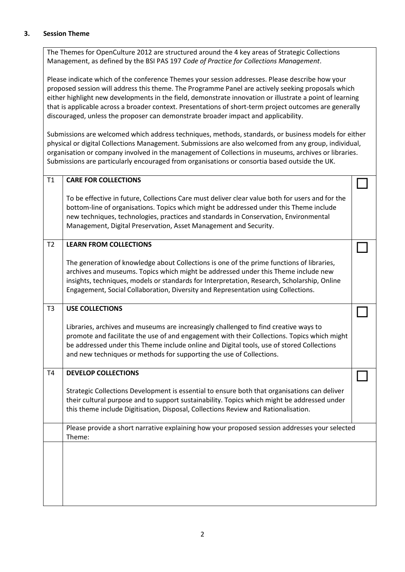#### **3. Session Theme**

The Themes for OpenCulture 2012 are structured around the 4 key areas of Strategic Collections Management, as defined by the BSI PAS 197 *Code of Practice for Collections Management*.

Please indicate which of the conference Themes your session addresses. Please describe how your proposed session will address this theme. The Programme Panel are actively seeking proposals which either highlight new developments in the field, demonstrate innovation or illustrate a point of learning that is applicable across a broader context. Presentations of short-term project outcomes are generally discouraged, unless the proposer can demonstrate broader impact and applicability.

Submissions are welcomed which address techniques, methods, standards, or business models for either physical or digital Collections Management. Submissions are also welcomed from any group, individual, organisation or company involved in the management of Collections in museums, archives or libraries. Submissions are particularly encouraged from organisations or consortia based outside the UK.

| T1             | <b>CARE FOR COLLECTIONS</b>                                                                                                                                                                                                                                                                                                                                         |  |
|----------------|---------------------------------------------------------------------------------------------------------------------------------------------------------------------------------------------------------------------------------------------------------------------------------------------------------------------------------------------------------------------|--|
|                | To be effective in future, Collections Care must deliver clear value both for users and for the<br>bottom-line of organisations. Topics which might be addressed under this Theme include<br>new techniques, technologies, practices and standards in Conservation, Environmental<br>Management, Digital Preservation, Asset Management and Security.               |  |
| T <sub>2</sub> | <b>LEARN FROM COLLECTIONS</b>                                                                                                                                                                                                                                                                                                                                       |  |
|                | The generation of knowledge about Collections is one of the prime functions of libraries,<br>archives and museums. Topics which might be addressed under this Theme include new<br>insights, techniques, models or standards for Interpretation, Research, Scholarship, Online<br>Engagement, Social Collaboration, Diversity and Representation using Collections. |  |
| T <sub>3</sub> | <b>USE COLLECTIONS</b>                                                                                                                                                                                                                                                                                                                                              |  |
|                | Libraries, archives and museums are increasingly challenged to find creative ways to<br>promote and facilitate the use of and engagement with their Collections. Topics which might<br>be addressed under this Theme include online and Digital tools, use of stored Collections<br>and new techniques or methods for supporting the use of Collections.            |  |
| T4             | <b>DEVELOP COLLECTIONS</b>                                                                                                                                                                                                                                                                                                                                          |  |
|                | Strategic Collections Development is essential to ensure both that organisations can deliver<br>their cultural purpose and to support sustainability. Topics which might be addressed under<br>this theme include Digitisation, Disposal, Collections Review and Rationalisation.                                                                                   |  |
|                | Please provide a short narrative explaining how your proposed session addresses your selected<br>Theme:                                                                                                                                                                                                                                                             |  |
|                |                                                                                                                                                                                                                                                                                                                                                                     |  |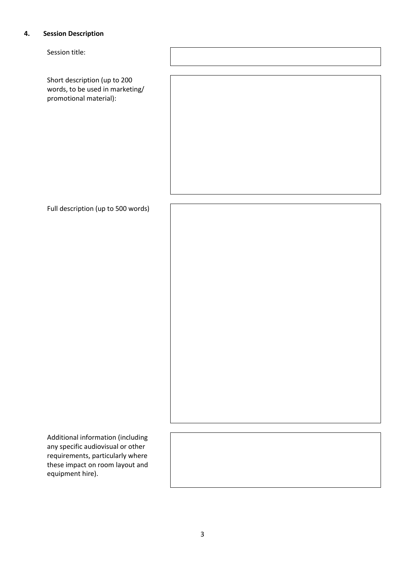## **4. Session Description**

Session title:

Short description (up to 200 words, to be used in marketing/ promotional material):

Full description (up to 500 words)

Additional information (including any specific audiovisual or other requirements, particularly where these impact on room layout and equipment hire).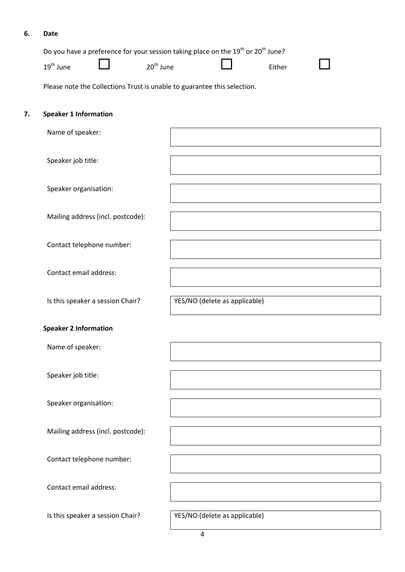## **6. Date**

|    | 19 <sup>th</sup> June        |                                   | 20 <sup>th</sup> June | Do you have a preference for your session taking place on the 19 <sup>th</sup> or 20 <sup>th</sup> June? | Either |  |
|----|------------------------------|-----------------------------------|-----------------------|----------------------------------------------------------------------------------------------------------|--------|--|
|    |                              |                                   |                       | Please note the Collections Trust is unable to guarantee this selection.                                 |        |  |
| 7. | <b>Speaker 1 Information</b> |                                   |                       |                                                                                                          |        |  |
|    | Name of speaker:             |                                   |                       |                                                                                                          |        |  |
|    | Speaker job title:           |                                   |                       |                                                                                                          |        |  |
|    | Speaker organisation:        |                                   |                       |                                                                                                          |        |  |
|    |                              | Mailing address (incl. postcode): |                       |                                                                                                          |        |  |
|    |                              | Contact telephone number:         |                       |                                                                                                          |        |  |
|    | Contact email address:       |                                   |                       |                                                                                                          |        |  |
|    |                              | Is this speaker a session Chair?  |                       | YES/NO (delete as applicable)                                                                            |        |  |
|    | <b>Speaker 2 Information</b> |                                   |                       |                                                                                                          |        |  |
|    | Name of speaker:             |                                   |                       |                                                                                                          |        |  |
|    | Speaker job title:           |                                   |                       |                                                                                                          |        |  |
|    | Speaker organisation:        |                                   |                       |                                                                                                          |        |  |
|    |                              | Mailing address (incl. postcode): |                       |                                                                                                          |        |  |
|    |                              | Contact telephone number:         |                       |                                                                                                          |        |  |
|    | Contact email address:       |                                   |                       |                                                                                                          |        |  |
|    |                              | Is this speaker a session Chair?  |                       | YES/NO (delete as applicable)                                                                            |        |  |

4